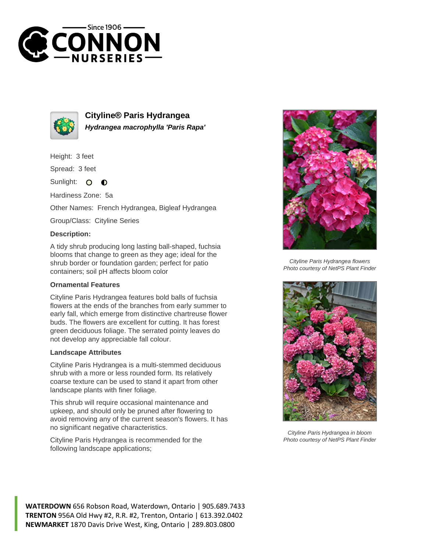



**Cityline® Paris Hydrangea Hydrangea macrophylla 'Paris Rapa'**

Height: 3 feet

Spread: 3 feet

Sunlight:  $\circ$  $\bullet$ 

Hardiness Zone: 5a

Other Names: French Hydrangea, Bigleaf Hydrangea

Group/Class: Cityline Series

## **Description:**

A tidy shrub producing long lasting ball-shaped, fuchsia blooms that change to green as they age; ideal for the shrub border or foundation garden; perfect for patio containers; soil pH affects bloom color

## **Ornamental Features**

Cityline Paris Hydrangea features bold balls of fuchsia flowers at the ends of the branches from early summer to early fall, which emerge from distinctive chartreuse flower buds. The flowers are excellent for cutting. It has forest green deciduous foliage. The serrated pointy leaves do not develop any appreciable fall colour.

## **Landscape Attributes**

Cityline Paris Hydrangea is a multi-stemmed deciduous shrub with a more or less rounded form. Its relatively coarse texture can be used to stand it apart from other landscape plants with finer foliage.

This shrub will require occasional maintenance and upkeep, and should only be pruned after flowering to avoid removing any of the current season's flowers. It has no significant negative characteristics.

Cityline Paris Hydrangea is recommended for the following landscape applications;



Cityline Paris Hydrangea flowers Photo courtesy of NetPS Plant Finder



Cityline Paris Hydrangea in bloom Photo courtesy of NetPS Plant Finder

**WATERDOWN** 656 Robson Road, Waterdown, Ontario | 905.689.7433 **TRENTON** 956A Old Hwy #2, R.R. #2, Trenton, Ontario | 613.392.0402 **NEWMARKET** 1870 Davis Drive West, King, Ontario | 289.803.0800